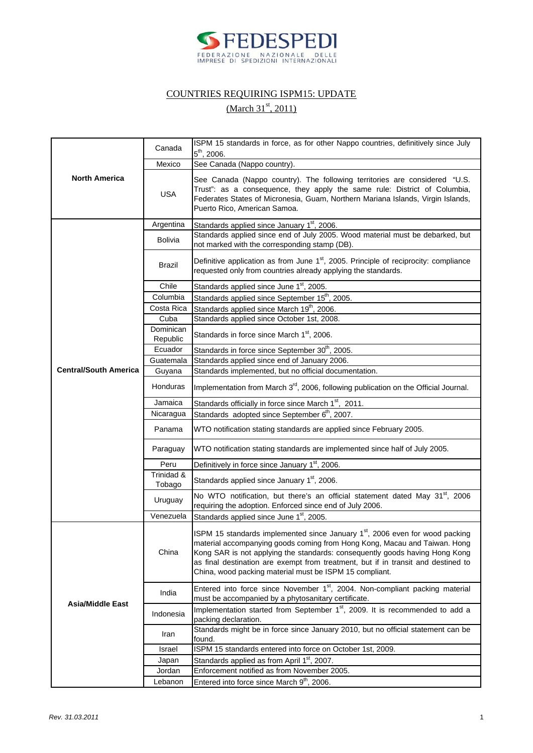

## COUNTRIES REQUIRING ISPM15: UPDATE

## (March 31<sup>st</sup>, 2011)

| <b>North America</b>         | Canada                | ISPM 15 standards in force, as for other Nappo countries, definitively since July                                                                                                                                                                                                                                                                                                                    |
|------------------------------|-----------------------|------------------------------------------------------------------------------------------------------------------------------------------------------------------------------------------------------------------------------------------------------------------------------------------------------------------------------------------------------------------------------------------------------|
|                              |                       | $5^{th}$ , 2006.                                                                                                                                                                                                                                                                                                                                                                                     |
|                              | Mexico                | See Canada (Nappo country).                                                                                                                                                                                                                                                                                                                                                                          |
|                              | <b>USA</b>            | See Canada (Nappo country). The following territories are considered "U.S.<br>Trust": as a consequence, they apply the same rule: District of Columbia,<br>Federates States of Micronesia, Guam, Northern Mariana Islands, Virgin Islands,<br>Puerto Rico, American Samoa.                                                                                                                           |
|                              | Argentina             | Standards applied since January 1st, 2006.                                                                                                                                                                                                                                                                                                                                                           |
|                              | <b>Bolivia</b>        | Standards applied since end of July 2005. Wood material must be debarked, but<br>not marked with the corresponding stamp (DB).                                                                                                                                                                                                                                                                       |
|                              | Brazil                | Definitive application as from June 1 <sup>st</sup> , 2005. Principle of reciprocity: compliance<br>requested only from countries already applying the standards.                                                                                                                                                                                                                                    |
|                              | Chile                 | Standards applied since June 1 <sup>st</sup> , 2005.                                                                                                                                                                                                                                                                                                                                                 |
|                              | Columbia              | Standards applied since September 15 <sup>th</sup> , 2005.                                                                                                                                                                                                                                                                                                                                           |
|                              | Costa Rica            | Standards applied since March 19 <sup>th</sup> , 2006.                                                                                                                                                                                                                                                                                                                                               |
|                              | Cuba                  | Standards applied since October 1st, 2008.                                                                                                                                                                                                                                                                                                                                                           |
|                              | Dominican<br>Republic | Standards in force since March 1 <sup>st</sup> , 2006.                                                                                                                                                                                                                                                                                                                                               |
|                              | Ecuador               | Standards in force since September 30 <sup>th</sup> , 2005.                                                                                                                                                                                                                                                                                                                                          |
|                              | Guatemala             | Standards applied since end of January 2006.                                                                                                                                                                                                                                                                                                                                                         |
| <b>Central/South America</b> | Guyana                | Standards implemented, but no official documentation.                                                                                                                                                                                                                                                                                                                                                |
|                              | Honduras              | Implementation from March 3 <sup>rd</sup> , 2006, following publication on the Official Journal.                                                                                                                                                                                                                                                                                                     |
|                              | Jamaica               | Standards officially in force since March 1st, 2011.                                                                                                                                                                                                                                                                                                                                                 |
|                              | Nicaragua             | Standards adopted since September 6 <sup>th</sup> , 2007.                                                                                                                                                                                                                                                                                                                                            |
|                              | Panama                | WTO notification stating standards are applied since February 2005.                                                                                                                                                                                                                                                                                                                                  |
|                              | Paraguay              | WTO notification stating standards are implemented since half of July 2005.                                                                                                                                                                                                                                                                                                                          |
|                              | Peru                  | Definitively in force since January 1 <sup>st</sup> , 2006.                                                                                                                                                                                                                                                                                                                                          |
|                              | Trinidad &<br>Tobago  | Standards applied since January 1 <sup>st</sup> , 2006.                                                                                                                                                                                                                                                                                                                                              |
|                              | Uruguay               | No WTO notification, but there's an official statement dated May 31 <sup>st</sup> , 2006<br>requiring the adoption. Enforced since end of July 2006.                                                                                                                                                                                                                                                 |
|                              | Venezuela             | Standards applied since June 1 <sup>st</sup> , 2005.                                                                                                                                                                                                                                                                                                                                                 |
| <b>Asia/Middle East</b>      | China                 | ISPM 15 standards implemented since January 1 <sup>st</sup> , 2006 even for wood packing<br>material accompanying goods coming from Hong Kong, Macau and Taiwan. Hong<br>Kong SAR is not applying the standards: consequently goods having Hong Kong<br>as final destination are exempt from treatment, but if in transit and destined to<br>China, wood packing material must be ISPM 15 compliant. |
|                              | India                 | Entered into force since November 1 <sup>st</sup> , 2004. Non-compliant packing material<br>must be accompanied by a phytosanitary certificate.                                                                                                                                                                                                                                                      |
|                              | Indonesia             | Implementation started from September 1 <sup>st</sup> , 2009. It is recommended to add a<br>packing declaration.                                                                                                                                                                                                                                                                                     |
|                              | Iran                  | Standards might be in force since January 2010, but no official statement can be<br>found.                                                                                                                                                                                                                                                                                                           |
|                              | Israel                | ISPM 15 standards entered into force on October 1st, 2009.                                                                                                                                                                                                                                                                                                                                           |
|                              | Japan                 | Standards applied as from April 1st, 2007.                                                                                                                                                                                                                                                                                                                                                           |
|                              | Jordan                | Enforcement notified as from November 2005.                                                                                                                                                                                                                                                                                                                                                          |
|                              | Lebanon               | Entered into force since March 9 <sup>th</sup> , 2006.                                                                                                                                                                                                                                                                                                                                               |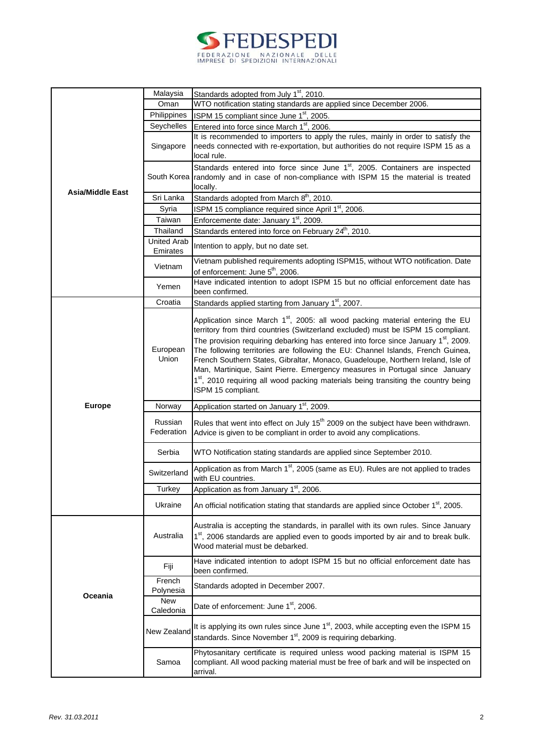| <b>SPEDESPEDI</b>                                                   |  |
|---------------------------------------------------------------------|--|
| FEDERAZIONE NAZIONALE DELLE<br>IMPRESE DI SPEDIZIONI INTERNAZIONALI |  |

|                         | Malaysia                       | Standards adopted from July 1 <sup>st</sup> , 2010.                                                                                                                                                                                                                                                                                                                |
|-------------------------|--------------------------------|--------------------------------------------------------------------------------------------------------------------------------------------------------------------------------------------------------------------------------------------------------------------------------------------------------------------------------------------------------------------|
|                         | Oman                           | WTO notification stating standards are applied since December 2006.                                                                                                                                                                                                                                                                                                |
|                         | Philippines                    | ISPM 15 compliant since June 1 <sup>st</sup> , 2005.                                                                                                                                                                                                                                                                                                               |
|                         | Seychelles                     | Entered into force since March 1 <sup>st</sup> , 2006.                                                                                                                                                                                                                                                                                                             |
|                         |                                | It is recommended to importers to apply the rules, mainly in order to satisfy the                                                                                                                                                                                                                                                                                  |
|                         | Singapore                      | needs connected with re-exportation, but authorities do not require ISPM 15 as a                                                                                                                                                                                                                                                                                   |
|                         |                                | local rule.                                                                                                                                                                                                                                                                                                                                                        |
| <b>Asia/Middle East</b> | South Korea                    | Standards entered into force since June 1 <sup>st</sup> , 2005. Containers are inspected<br>randomly and in case of non-compliance with ISPM 15 the material is treated<br>locally.                                                                                                                                                                                |
|                         | Sri Lanka                      | Standards adopted from March 8 <sup>th</sup> , 2010.                                                                                                                                                                                                                                                                                                               |
|                         | Syria                          | ISPM 15 compliance required since April 1 <sup>st</sup> , 2006.                                                                                                                                                                                                                                                                                                    |
|                         | Taiwan                         | Enforcemente date: January 1 <sup>st</sup> , 2009.                                                                                                                                                                                                                                                                                                                 |
|                         | Thailand                       | Standards entered into force on February 24 <sup>th</sup> , 2010.                                                                                                                                                                                                                                                                                                  |
|                         | <b>United Arab</b><br>Emirates | Intention to apply, but no date set.                                                                                                                                                                                                                                                                                                                               |
|                         |                                | Vietnam published requirements adopting ISPM15, without WTO notification. Date                                                                                                                                                                                                                                                                                     |
|                         | Vietnam                        | of enforcement: June 5 <sup>th</sup> , 2006.                                                                                                                                                                                                                                                                                                                       |
|                         | Yemen                          | Have indicated intention to adopt ISPM 15 but no official enforcement date has                                                                                                                                                                                                                                                                                     |
|                         |                                | been confirmed.                                                                                                                                                                                                                                                                                                                                                    |
|                         | Croatia                        | Standards applied starting from January 1 <sup>st</sup> , 2007.                                                                                                                                                                                                                                                                                                    |
| <b>Europe</b>           | European<br>Union              | Application since March 1 <sup>st</sup> , 2005: all wood packing material entering the EU<br>territory from third countries (Switzerland excluded) must be ISPM 15 compliant.<br>The provision requiring debarking has entered into force since January 1 <sup>st</sup> , 2009.<br>The following territories are following the EU: Channel Islands, French Guinea, |
|                         |                                | French Southern States, Gibraltar, Monaco, Guadeloupe, Northern Ireland, Isle of<br>Man, Martinique, Saint Pierre. Emergency measures in Portugal since January<br>1st, 2010 requiring all wood packing materials being transiting the country being<br>ISPM 15 compliant.                                                                                         |
|                         | Norway                         | Application started on January 1st, 2009.                                                                                                                                                                                                                                                                                                                          |
|                         | Russian<br>Federation          | Rules that went into effect on July 15 <sup>th</sup> 2009 on the subject have been withdrawn.<br>Advice is given to be compliant in order to avoid any complications.                                                                                                                                                                                              |
|                         | Serbia                         | WTO Notification stating standards are applied since September 2010.                                                                                                                                                                                                                                                                                               |
|                         | Switzerland                    | Application as from March 1 <sup>st</sup> , 2005 (same as EU). Rules are not applied to trades<br>with EU countries.                                                                                                                                                                                                                                               |
|                         | Turkey                         | Application as from January 1 <sup>st</sup> , 2006                                                                                                                                                                                                                                                                                                                 |
|                         | Ukraine                        | An official notification stating that standards are applied since October 1 <sup>st</sup> , 2005.                                                                                                                                                                                                                                                                  |
| Oceania                 | Australia                      | Australia is accepting the standards, in parallel with its own rules. Since January<br>1st, 2006 standards are applied even to goods imported by air and to break bulk.<br>Wood material must be debarked.                                                                                                                                                         |
|                         | Fiji                           | Have indicated intention to adopt ISPM 15 but no official enforcement date has<br>been confirmed.                                                                                                                                                                                                                                                                  |
|                         | French<br>Polynesia            | Standards adopted in December 2007.                                                                                                                                                                                                                                                                                                                                |
|                         | <b>New</b><br>Caledonia        | Date of enforcement: June 1 <sup>st</sup> , 2006.                                                                                                                                                                                                                                                                                                                  |
|                         | New Zealand                    | It is applying its own rules since June 1 <sup>st</sup> , 2003, while accepting even the ISPM 15<br>standards. Since November 1 <sup>st</sup> , 2009 is requiring debarking.                                                                                                                                                                                       |
|                         | Samoa                          | Phytosanitary certificate is required unless wood packing material is ISPM 15<br>compliant. All wood packing material must be free of bark and will be inspected on<br>arrival.                                                                                                                                                                                    |